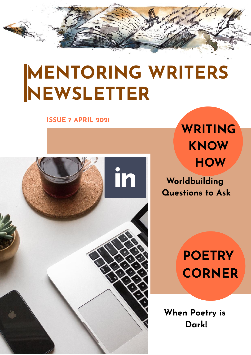# **MENTORING WRITERS NEWSLETTER**

#### **ISSUE 7 APRIL 2021**



**WRITING KNOW HOW**

**Worldbuilding Questions to Ask**

> **POETRY CORNER**

**When Poetry is Dark!**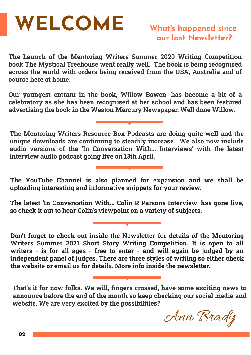# **WELCOME What'**

**The Launch of the Mentoring Writers Summer 2020 Writing Competition book The Mystical Treehouse went really well. The book is being recognised across the world with orders being received from the USA, Australia and of course here at home.**

**Our youngest entrant in the book, Willow Bowen, has become a bit of a celebratory as she has been recognised at her school and has been featured advertising the book in the Weston Mercury Newspaper. Well done Willow.**

**The Mentoring Writers Resource Box Podcasts are doing quite well and the unique downloads are continuing to steadily increase. We also now include audio versions of the 'In Conversation With... Interviews' with the latest interview audio podcast going live on 13th April.**

**The YouTube Channel is also planned for expansion and we shall be uploading interesting and informative snippets for your review.**

**The latest 'In Conversation With... Colin R Parsons Interview' has gone live, so check it out to hear Colin's viewpoint on a variety of subjects.**

**Don't forget to check out inside the Newsletter for details of the Mentoring Writers Summer 2021 Short Story Writing Competition. It is open to all writers - is for all ages - free to enter - and will again be judged by an independent panel of judges. There are three styles of writing so either check the website or email us for details. More info inside the newsletter.**

**That's it for now folks. We will, fingers crossed, have some exciting news to announce before the end of the month so keep checking our social media and website. We are very excited by the possibilities?**

Ann Brady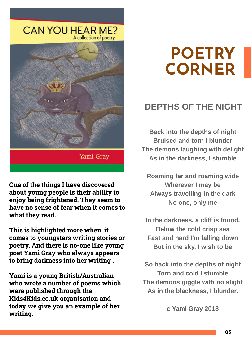

**One of the things I have discovered about young people is their ability to enjoy being frightened. They seem to have no sense of fear when it comes to what they read.**

**This is highlighted more when it comes to youngsters writing stories or poetry. And there is no-one like young poet Yami Gray who always appears to bring darkness into her writing .**

**Yami is a young British/Australian who wrote a number of poems which were published through the Kids4Kids.co.uk organisation and today we give you an example of her writing.**

## **POETRY CORNER**

### **DEPTHS OF THE NIGHT**

**Back into the depths of night Bruised and torn I blunder The demons laughing with delight As in the darkness, I stumble**

**Roaming far and roaming wide Wherever I may be Always travelling in the dark No one, only me**

**In the darkness, a cliff is found. Below the cold crisp sea Fast and hard I'm falling down But in the sky, I wish to be**

**So back into the depths of night Torn and cold I stumble The demons giggle with no slight As in the blackness, I blunder.**

**c Yami Gray 2018**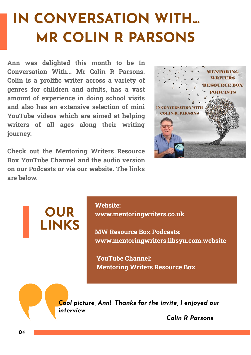## **IN CONVERSATION WITH... MR COLIN R PARSONS**

**Ann was delighted this month to be In Conversation With... Mr Colin R Parsons. Colin is a prolific writer across a variety of genres for children and adults, has a vast amount of experience in doing school visits and also has an extensive selection of mini YouTube videos which are aimed at helping writers of all ages along their writing journey.**

**Check out the Mentoring Writers Resource Box YouTube Channel and the audio version on our Podcasts or via our website. The links are below.**



## **OUR LINKS**

#### **Website:**

 **www.mentoringwriters.co.uk**

 **MW Resource Box Podcasts: www.mentoringwriters.libsyn.com.website**

 **YouTube Channel: Mentoring Writers Resource Box**

*Cool picture, Ann! Thanks for the invite, I enjoyed our interview.*

 *Colin R Parsons*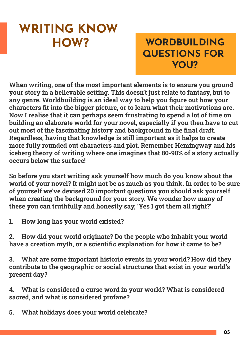## **WRITING KNOW HOW?**

## **WORDBUILDING QUESTIONS FOR YOU?**

**When writing, one of the most important elements is to ensure you ground your story in a believable setting. This doesn't just relate to fantasy, but to any genre. Worldbuilding is an ideal way to help you figure out how your characters fit into the bigger picture, or to learn what their motivations are. Now I realise that it can perhaps seem frustrating to spend a lot of time on building an elaborate world for your novel, especially if you then have to cut out most of the fascinating history and background in the final draft. Regardless, having that knowledge is still important as it helps to create more fully rounded out characters and plot. Remember Hemingway and his iceberg theory of writing where one imagines that 80-90% of a story actually occurs below the surface!**

**So before you start writing ask yourself how much do you know about the world of your novel? It might not be as much as you think. In order to be sure of yourself we've devised 20 important questions you should ask yourself when creating the background for your story. We wonder how many of these you can truthfully and honestly say, 'Yes I got them all right?'**

**1. How long has your world existed?**

**2. How did your world originate? Do the people who inhabit your world have a creation myth, or a scientific explanation for how it came to be?**

**3. What are some important historic events in your world? How did they contribute to the geographic or social structures that exist in your world's present day?**

**4. What is considered a curse word in your world? What is considered sacred, and what is considered profane?**

**5. What holidays does your world celebrate?**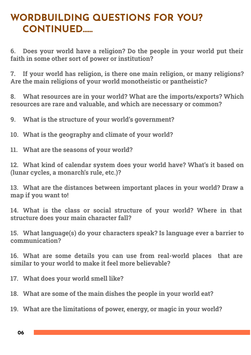## **WORDBUILDING QUESTIONS FOR YOU? CONTINUED......**

**6. Does your world have a religion? Do the people in your world put their faith in some other sort of power or institution?**

**7. If your world has religion, is there one main religion, or many religions? Are the main religions of your world monotheistic or pantheistic?**

**8. What resources are in your world? What are the imports/exports? Which resources are rare and valuable, and which are necessary or common?**

**9. What is the structure of your world's government?**

**10. What is the geography and climate of your world?**

**11. What are the seasons of your world?**

**12. What kind of calendar system does your world have? What's it based on (lunar cycles, a monarch's rule, etc.)?**

**13. What are the distances between important places in your world? Draw a map if you want to!**

**14. What is the class or social structure of your world? Where in that structure does your main character fall?**

**15. What language(s) do your characters speak? Is language ever a barrier to communication?**

**16. What are some details you can use from real-world places that are similar to your world to make it feel more believable?**

**17. What does your world smell like?**

**18. What are some of the main dishes the people in your world eat?**

**19. What are the limitations of power, energy, or magic in your world?**

**06**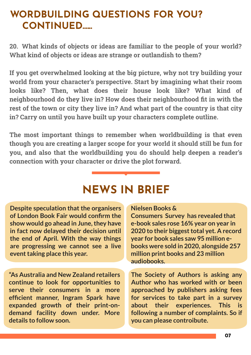## **WORDBUILDING QUESTIONS FOR YOU? CONTINUED......**

**20. What kinds of objects or ideas are familiar to the people of your world? What kind of objects or ideas are strange or outlandish to them?**

**If you get overwhelmed looking at the big picture, why not try building your world from your character's perspective. Start by imagining what their room looks like? Then, what does their house look like? What kind of neighbourhood do they live in? How does their neighbourhood fit in with the rest of the town or city they live in? And what part of the country is that city in? Carry on until you have built up your characters complete outline.**

**The most important things to remember when worldbuilding is that even though you are creating a larger scope for your world it should still be fun for you, and also that the worldbuilding you do should help deepen a reader's connection with your character or drive the plot forward.**

## **NEWS IN BRIEF**

**Despite speculation that the organisers of London Book Fair would confirm the show would go ahead in June, they have in fact now delayed their decision until the end of April. With the way things are progressing we cannot see a live event taking place this year.** 

**"As Australia and New Zealand retailers continue to look for opportunities to serve their consumers in a more efficient manner, Ingram Spark have expanded growth of their print-ondemand facility down under. More details to follow soon.**

#### **Nielsen Books &**

**Consumers Survey has revealed that e-book sales rose 16% year on year in 2020** to their biggest total yet. A record **year for book sales saw 95 million ebooks were sold in 2020, alongside 257 million print books and 23 million audiobooks.**

**The Society of Authors is asking any Author who has worked with or been approached by publishers asking fees for services to take part in a survey about their experiences. This is following a number of complaints. So if you can please controibute.**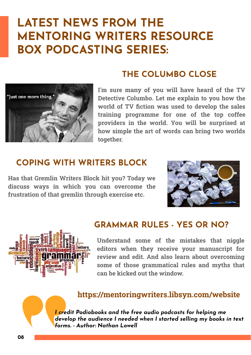## **LATEST NEWS FROM THE MENTORING WRITERS RESOURCE BOX PODCASTING SERIES:**



#### **THE COLUMBO CLOSE**

**I'm sure many of you will have heard of the TV Detective Columbo. Let me explain to you how the world of TV fiction was used to develop the sales training programme for one of the top coffee providers in the world. You will be surprised at how simple the art of words can bring two worlds together.**

#### **COPING WITH WRITERS BLOCK**

**Has that Gremlin Writers Block hit you? Today we discuss ways in which you can overcome the frustration of that gremlin through exercise etc.**



#### **GRAMMAR RULES - YES OR NO?**



**Understand some of the mistakes that niggle editors when they receive your manuscript for review and edit. And also learn about overcoming some of those grammatical rules and myths that can be kicked out the window.**

#### **https://mentoringwriters.libsyn.com/website**

*I credit Podiobooks and the free audio podcasts for helping me develop the audience I needed when I started selling my books in text forms. - Author: Nathan Lowell*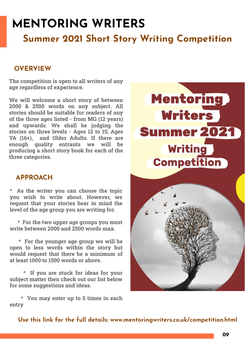## **MENTORING WRITERS**

### **Summer 2021 Short Story Writing Competition**

#### **OVERVIEW**

**The competition is open to all writers of any age regardless of experience.**

**We will welcome a short story of between 2000 & 2500 words on any subject. All stories should be suitable for readers of any of the three ages listed - from MG (12 years) and upwards. We shall be judging the stories on three levels - Ages 12 to 15; Ages YA (16+), and Older Adults. If there are enough quality entrants we will be producing a short story book for each of the three categories.**

#### **APPROACH**

**\* As the writer you can choose the topic you wish to write about. However, we request that your stories bear in mind the level of the age group you are writing for.**

 **\* For the two upper age groups you must write between 2000 and 2500 words max.**

**\* For the younger age group we will be open to less words within the story but would request that there be a minimum of at least 1000 to 1500 words or above.**

**\* If you are stuck for ideas for your subject matter then check out our list below for some suggestions and ideas.**

**\* You may enter up to 5 times in each entry**